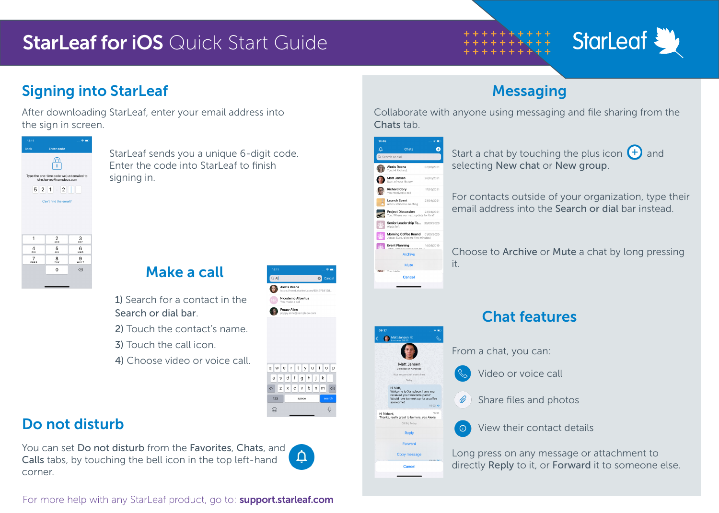## **StarLeaf for iOS** Quick Start Guide



## Signing into StarLeaf

After downloading StarLeaf, enter your email address into the sign in screen.



StarLeaf sends you a unique 6-digit code. Enter the code into Starl eaf to finish signing in.

#### Make a call

1) Search for a contact in the Search or dial bar.

2) Touch the contact's name.

- 3) Touch the call icon.
- 4) Choose video or voice call.

#### Do not disturb

You can set Do not disturb from the Favorites, Chats, and Calls tabs, by touching the bell icon in the top left-hand corner.



123  $\odot$ 

qwertyuiop

 $a$  s d f g h j k l  $Q$  z x c v b n m  $Q$ 

Alexis Reena Nicodemo Albertus Poppy Aline

For more help with any StarLeaf product, go to: **support.starleaf.com** 

## **Messaging**

Collaborate with anyone using messaging and file sharing from the Chats tab.



Start a chat by touching the plus icon  $(+)$  and selecting New chat or New group.

For contacts outside of your organization, type their email address into the Search or dial bar instead.

Choose to Archive or Mute a chat by long pressing

#### Chat features

From a chat, you can:

 $\mathscr Q$ 

Video or voice call

Share files and photos

View their contact details

Long press on any message or attachment to directly Reply to it, or Forward it to someone else.